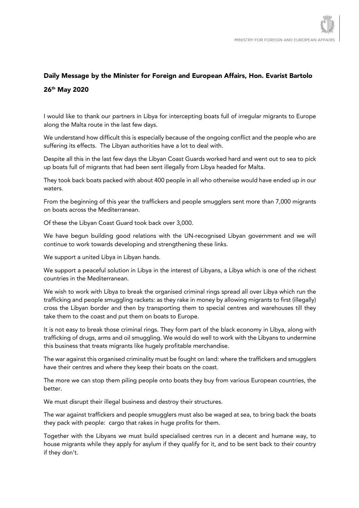## Daily Message by the Minister for Foreign and European Affairs, Hon. Evarist Bartolo 26th May 2020

I would like to thank our partners in Libya for intercepting boats full of irregular migrants to Europe along the Malta route in the last few days.

We understand how difficult this is especially because of the ongoing conflict and the people who are suffering its effects. The Libyan authorities have a lot to deal with.

Despite all this in the last few days the Libyan Coast Guards worked hard and went out to sea to pick up boats full of migrants that had been sent illegally from Libya headed for Malta.

They took back boats packed with about 400 people in all who otherwise would have ended up in our waters.

From the beginning of this year the traffickers and people smugglers sent more than 7,000 migrants on boats across the Mediterranean.

Of these the Libyan Coast Guard took back over 3,000.

We have begun building good relations with the UN-recognised Libyan government and we will continue to work towards developing and strengthening these links.

We support a united Libya in Libyan hands.

We support a peaceful solution in Libya in the interest of Libyans, a Libya which is one of the richest countries in the Mediterranean.

We wish to work with Libya to break the organised criminal rings spread all over Libya which run the trafficking and people smuggling rackets: as they rake in money by allowing migrants to first (illegally) cross the Libyan border and then by transporting them to special centres and warehouses till they take them to the coast and put them on boats to Europe.

It is not easy to break those criminal rings. They form part of the black economy in Libya, along with trafficking of drugs, arms and oil smuggling. We would do well to work with the Libyans to undermine this business that treats migrants like hugely profitable merchandise.

The war against this organised criminality must be fought on land: where the traffickers and smugglers have their centres and where they keep their boats on the coast.

The more we can stop them piling people onto boats they buy from various European countries, the better.

We must disrupt their illegal business and destroy their structures.

The war against traffickers and people smugglers must also be waged at sea, to bring back the boats they pack with people: cargo that rakes in huge profits for them.

Together with the Libyans we must build specialised centres run in a decent and humane way, to house migrants while they apply for asylum if they qualify for it, and to be sent back to their country if they don't.